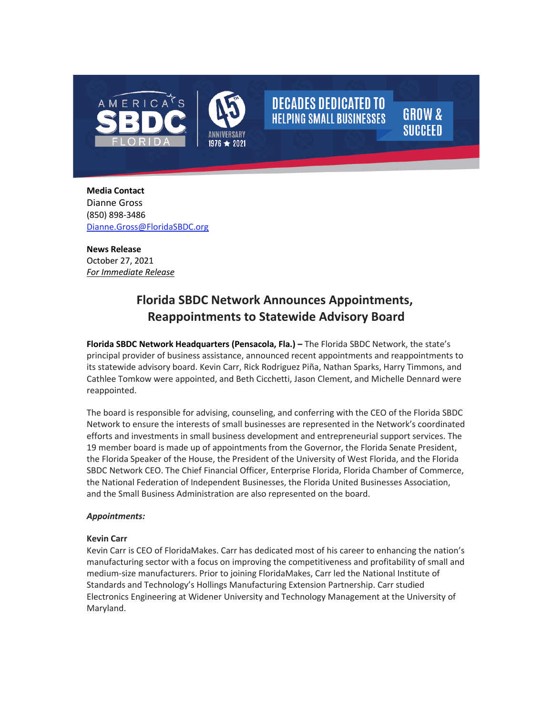

**Media Contact** Dianne Gross (850) 898-3486 [Dianne.Gross@FloridaSBDC.org](mailto:Dianne.Gross@FloridaSBDC.org) 

**News Release** October 27, 2021 *For Immediate Release*

# **Florida SBDC Network Announces Appointments, Reappointments to Statewide Advisory Board**

**DECADES DEDICATED TO** 

**HELPING SMALL BUSINESSES** 

**GROW &** 

**SUCCEED** 

**Florida SBDC Network Headquarters (Pensacola, Fla.) –** The Florida SBDC Network, the state's principal provider of business assistance, announced recent appointments and reappointments to its statewide advisory board. Kevin Carr, Rick Rodriguez Piña, Nathan Sparks, Harry Timmons, and Cathlee Tomkow were appointed, and Beth Cicchetti, Jason Clement, and Michelle Dennard were reappointed.

The board is responsible for advising, counseling, and conferring with the CEO of the Florida SBDC Network to ensure the interests of small businesses are represented in the Network's coordinated efforts and investments in small business development and entrepreneurial support services. The 19 member board is made up of appointments from the Governor, the Florida Senate President, the Florida Speaker of the House, the President of the University of West Florida, and the Florida SBDC Network CEO. The Chief Financial Officer, Enterprise Florida, Florida Chamber of Commerce, the National Federation of Independent Businesses, the Florida United Businesses Association, and the Small Business Administration are also represented on the board.

# *Appointments:*

# **Kevin Carr**

Kevin Carr is CEO of FloridaMakes. Carr has dedicated most of his career to enhancing the nation's manufacturing sector with a focus on improving the competitiveness and profitability of small and medium-size manufacturers. Prior to joining FloridaMakes, Carr led the National Institute of Standards and Technology's Hollings Manufacturing Extension Partnership. Carr studied Electronics Engineering at Widener University and Technology Management at the University of Maryland.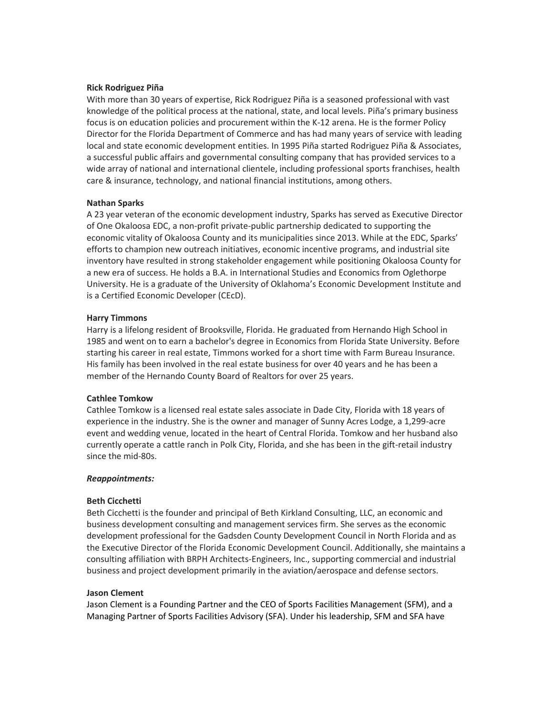## **Rick Rodriguez Piña**

With more than 30 years of expertise, Rick Rodriguez Piña is a seasoned professional with vast knowledge of the political process at the national, state, and local levels. Piña's primary business focus is on education policies and procurement within the K-12 arena. He is the former Policy Director for the Florida Department of Commerce and has had many years of service with leading local and state economic development entities. In 1995 Piña started Rodriguez Piña & Associates, a successful public affairs and governmental consulting company that has provided services to a wide array of national and international clientele, including professional sports franchises, health care & insurance, technology, and national financial institutions, among others.

### **Nathan Sparks**

A 23 year veteran of the economic development industry, Sparks has served as Executive Director of One Okaloosa EDC, a non-profit private-public partnership dedicated to supporting the economic vitality of Okaloosa County and its municipalities since 2013. While at the EDC, Sparks' efforts to champion new outreach initiatives, economic incentive programs, and industrial site inventory have resulted in strong stakeholder engagement while positioning Okaloosa County for a new era of success. He holds a B.A. in International Studies and Economics from Oglethorpe University. He is a graduate of the University of Oklahoma's Economic Development Institute and is a Certified Economic Developer (CEcD).

#### **Harry Timmons**

Harry is a lifelong resident of Brooksville, Florida. He graduated from Hernando High School in 1985 and went on to earn a bachelor's degree in Economics from Florida State University. Before starting his career in real estate, Timmons worked for a short time with Farm Bureau Insurance. His family has been involved in the real estate business for over 40 years and he has been a member of the Hernando County Board of Realtors for over 25 years.

#### **Cathlee Tomkow**

Cathlee Tomkow is a licensed real estate sales associate in Dade City, Florida with 18 years of experience in the industry. She is the owner and manager of Sunny Acres Lodge, a 1,299-acre event and wedding venue, located in the heart of Central Florida. Tomkow and her husband also currently operate a cattle ranch in Polk City, Florida, and she has been in the gift-retail industry since the mid-80s.

#### *Reappointments:*

# **Beth Cicchetti**

Beth Cicchetti is the founder and principal of Beth Kirkland Consulting, LLC, an economic and business development consulting and management services firm. She serves as the economic development professional for the Gadsden County Development Council in North Florida and as the Executive Director of the Florida Economic Development Council. Additionally, she maintains a consulting affiliation with BRPH Architects-Engineers, Inc., supporting commercial and industrial business and project development primarily in the aviation/aerospace and defense sectors.

#### **Jason Clement**

Jason Clement is a Founding Partner and the CEO of Sports Facilities Management (SFM), and a Managing Partner of Sports Facilities Advisory (SFA). Under his leadership, SFM and SFA have